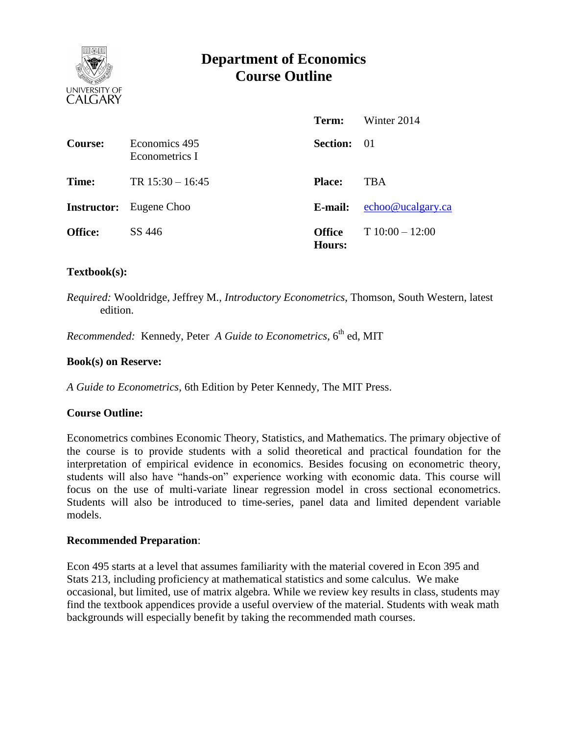

# **Department of Economics Course Outline**

|                    |                                 | Term:                          | Winter 2014       |
|--------------------|---------------------------------|--------------------------------|-------------------|
| Course:            | Economics 495<br>Econometrics I | <b>Section:</b> 01             |                   |
| Time:              | TR $15:30 - 16:45$              | <b>Place:</b>                  | <b>TBA</b>        |
| <b>Instructor:</b> | Eugene Choo                     | E-mail:                        | echoo@ucalgary.ca |
| <b>Office:</b>     | SS 446                          | <b>Office</b><br><b>Hours:</b> | $T10:00-12:00$    |

#### **Textbook(s):**

*Required:* Wooldridge, Jeffrey M., *Introductory Econometrics*, Thomson, South Western, latest edition.

*Recommended:* Kennedy, Peter *A Guide to Econometrics*, 6<sup>th</sup> ed, MIT

#### **Book(s) on Reserve:**

*A Guide to Econometrics*, 6th Edition by Peter Kennedy, The MIT Press.

## **Course Outline:**

Econometrics combines Economic Theory, Statistics, and Mathematics. The primary objective of the course is to provide students with a solid theoretical and practical foundation for the interpretation of empirical evidence in economics. Besides focusing on econometric theory, students will also have "hands-on" experience working with economic data. This course will focus on the use of multi-variate linear regression model in cross sectional econometrics. Students will also be introduced to time-series, panel data and limited dependent variable models.

#### **Recommended Preparation**:

Econ 495 starts at a level that assumes familiarity with the material covered in Econ 395 and Stats 213, including proficiency at mathematical statistics and some calculus. We make occasional, but limited, use of matrix algebra. While we review key results in class, students may find the textbook appendices provide a useful overview of the material. Students with weak math backgrounds will especially benefit by taking the recommended math courses.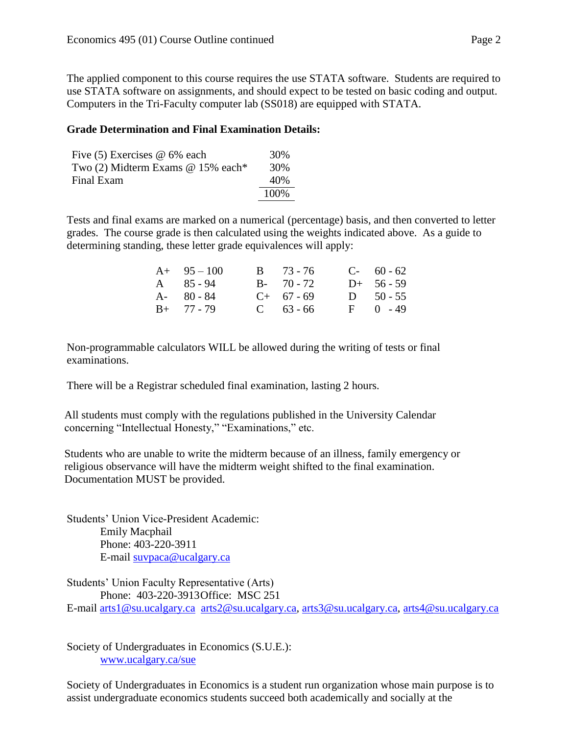The applied component to this course requires the use STATA software. Students are required to use STATA software on assignments, and should expect to be tested on basic coding and output. Computers in the Tri-Faculty computer lab (SS018) are equipped with STATA.

## **Grade Determination and Final Examination Details:**

| Five $(5)$ Exercises $@$ 6% each    | 30%   |
|-------------------------------------|-------|
| Two $(2)$ Midterm Exams @ 15% each* | 30%   |
| Final Exam                          | 40%   |
|                                     | 100\% |

Tests and final exams are marked on a numerical (percentage) basis, and then converted to letter grades. The course grade is then calculated using the weights indicated above. As a guide to determining standing, these letter grade equivalences will apply:

| $A+ 95-100$       | $B = 73 - 76$ | $C-60-62$    |
|-------------------|---------------|--------------|
| $A \quad 85 - 94$ | $B - 70 - 72$ | $D+ 56 - 59$ |
| $A - 80 - 84$     | $C+ 67 - 69$  | D $50 - 55$  |
| $B+ 77 - 79$      | $C = 63 - 66$ | $F = 0 - 49$ |

Non-programmable calculators WILL be allowed during the writing of tests or final examinations.

There will be a Registrar scheduled final examination, lasting 2 hours.

All students must comply with the regulations published in the University Calendar concerning "Intellectual Honesty," "Examinations," etc.

Students who are unable to write the midterm because of an illness, family emergency or religious observance will have the midterm weight shifted to the final examination. Documentation MUST be provided.

Students' Union Vice-President Academic: Emily Macphail Phone: 403-220-3911 E-mail [suvpaca@ucalgary.ca](mailto:subpaca@ucalgary.ca)

Students' Union Faculty Representative (Arts) Phone: 403-220-3913Office: MSC 251 E-mail [arts1@su.ucalgary.ca](mailto:arts1@su.ucalgary.ca) [arts2@su.ucalgary.ca,](mailto:arts2@su.ucalgary.ca) [arts3@su.ucalgary.ca,](mailto:arts3@su.ucalgary.ca) [arts4@su.ucalgary.ca](mailto:arts4@su.ucalgary.ca)

Society of Undergraduates in Economics (S.U.E.): [www.ucalgary.ca/sue](http://www.fp.ucalgary.ca/econ)

Society of Undergraduates in Economics is a student run organization whose main purpose is to assist undergraduate economics students succeed both academically and socially at the